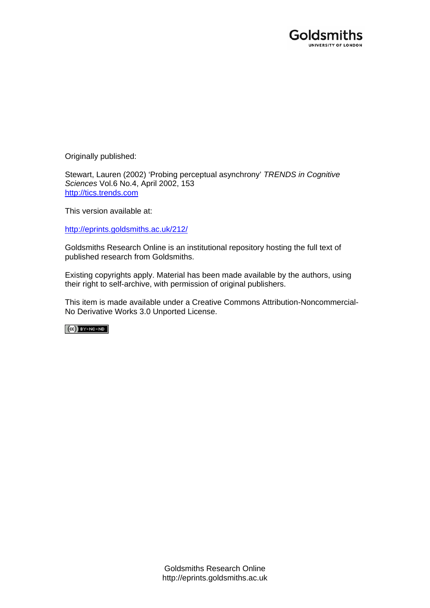

Originally published:

Stewart, Lauren (2002) 'Probing perceptual asynchrony' *TRENDS in Cognitive Sciences* Vol.6 No.4, April 2002, 153 [http://tics.trends.com](http://tics.trends.com/)

This version available at:

[http://eprints.goldsmiths.ac.uk/212/](http://eprints.goldsmiths.ac.uk/211/)

Goldsmiths Research Online is an institutional repository hosting the full text of published research from Goldsmiths.

Existing copyrights apply. Material has been made available by the authors, using their right to self-archive, with permission of original publishers.

This item is made available under a Creative Commons Attribution-Noncommercial-No Derivative Works 3.0 Unported License.

 $(Cc)$  BY-NC-ND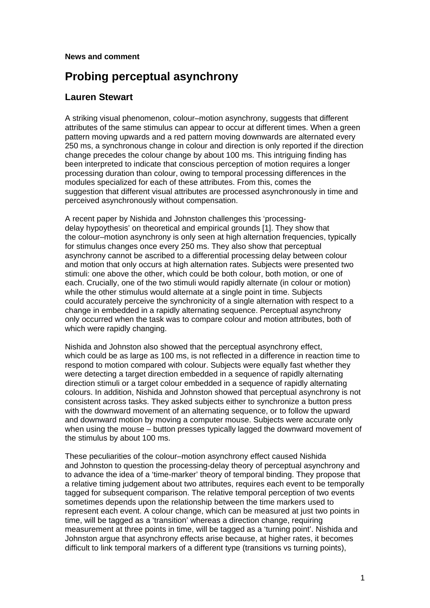**News and comment** 

## **Probing perceptual asynchrony**

## **Lauren Stewart**

A striking visual phenomenon, colour–motion asynchrony, suggests that different attributes of the same stimulus can appear to occur at different times. When a green pattern moving upwards and a red pattern moving downwards are alternated every 250 ms, a synchronous change in colour and direction is only reported if the direction change precedes the colour change by about 100 ms. This intriguing finding has been interpreted to indicate that conscious perception of motion requires a longer processing duration than colour, owing to temporal processing differences in the modules specialized for each of these attributes. From this, comes the suggestion that different visual attributes are processed asynchronously in time and perceived asynchronously without compensation.

A recent paper by Nishida and Johnston challenges this 'processingdelay hypoythesis' on theoretical and empirical grounds [1]. They show that the colour–motion asynchrony is only seen at high alternation frequencies, typically for stimulus changes once every 250 ms. They also show that perceptual asynchrony cannot be ascribed to a differential processing delay between colour and motion that only occurs at high alternation rates. Subjects were presented two stimuli: one above the other, which could be both colour, both motion, or one of each. Crucially, one of the two stimuli would rapidly alternate (in colour or motion) while the other stimulus would alternate at a single point in time. Subjects could accurately perceive the synchronicity of a single alternation with respect to a change in embedded in a rapidly alternating sequence. Perceptual asynchrony only occurred when the task was to compare colour and motion attributes, both of which were rapidly changing.

Nishida and Johnston also showed that the perceptual asynchrony effect, which could be as large as 100 ms, is not reflected in a difference in reaction time to respond to motion compared with colour. Subjects were equally fast whether they were detecting a target direction embedded in a sequence of rapidly alternating direction stimuli or a target colour embedded in a sequence of rapidly alternating colours. In addition, Nishida and Johnston showed that perceptual asynchrony is not consistent across tasks. They asked subjects either to synchronize a button press with the downward movement of an alternating sequence, or to follow the upward and downward motion by moving a computer mouse. Subjects were accurate only when using the mouse – button presses typically lagged the downward movement of the stimulus by about 100 ms.

These peculiarities of the colour–motion asynchrony effect caused Nishida and Johnston to question the processing-delay theory of perceptual asynchrony and to advance the idea of a 'time-marker' theory of temporal binding. They propose that a relative timing judgement about two attributes, requires each event to be temporally tagged for subsequent comparison. The relative temporal perception of two events sometimes depends upon the relationship between the time markers used to represent each event. A colour change, which can be measured at just two points in time, will be tagged as a 'transition' whereas a direction change, requiring measurement at three points in time, will be tagged as a 'turning point'. Nishida and Johnston argue that asynchrony effects arise because, at higher rates, it becomes difficult to link temporal markers of a different type (transitions vs turning points),